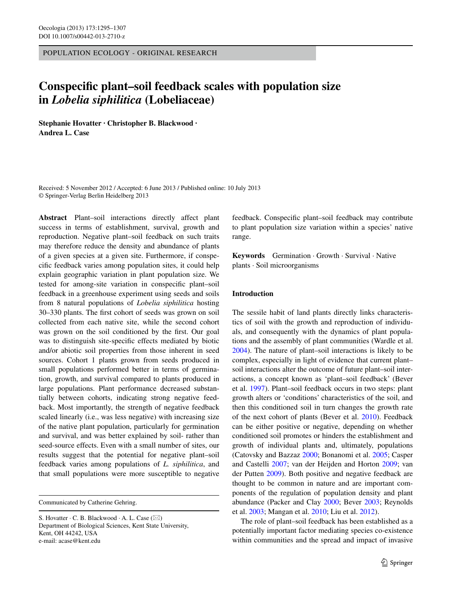Population ecology - Original research

# **Conspecific plant–soil feedback scales with population size in** *Lobelia siphilitica* **(Lobeliaceae)**

**Stephanie Hovatter · Christopher B. Blackwood · Andrea L. Case**

Received: 5 November 2012 / Accepted: 6 June 2013 / Published online: 10 July 2013 © Springer-Verlag Berlin Heidelberg 2013

**Abstract** Plant–soil interactions directly affect plant success in terms of establishment, survival, growth and reproduction. Negative plant–soil feedback on such traits may therefore reduce the density and abundance of plants of a given species at a given site. Furthermore, if conspecific feedback varies among population sites, it could help explain geographic variation in plant population size. We tested for among-site variation in conspecific plant–soil feedback in a greenhouse experiment using seeds and soils from 8 natural populations of *Lobelia siphilitica* hosting 30–330 plants. The first cohort of seeds was grown on soil collected from each native site, while the second cohort was grown on the soil conditioned by the first. Our goal was to distinguish site-specific effects mediated by biotic and/or abiotic soil properties from those inherent in seed sources. Cohort 1 plants grown from seeds produced in small populations performed better in terms of germination, growth, and survival compared to plants produced in large populations. Plant performance decreased substantially between cohorts, indicating strong negative feedback. Most importantly, the strength of negative feedback scaled linearly (i.e., was less negative) with increasing size of the native plant population, particularly for germination and survival, and was better explained by soil- rather than seed-source effects. Even with a small number of sites, our results suggest that the potential for negative plant–soil feedback varies among populations of *L. siphilitica*, and that small populations were more susceptible to negative

Communicated by Catherine Gehring.

feedback. Conspecific plant–soil feedback may contribute to plant population size variation within a species' native range.

**Keywords** Germination · Growth · Survival · Native plants · Soil microorganisms

## **Introduction**

The sessile habit of land plants directly links characteristics of soil with the growth and reproduction of individuals, and consequently with the dynamics of plant populations and the assembly of plant communities (Wardle et al. [2004](#page-12-0)). The nature of plant–soil interactions is likely to be complex, especially in light of evidence that current plant– soil interactions alter the outcome of future plant–soil interactions, a concept known as 'plant–soil feedback' (Bever et al. [1997](#page-10-0)). Plant–soil feedback occurs in two steps: plant growth alters or 'conditions' characteristics of the soil, and then this conditioned soil in turn changes the growth rate of the next cohort of plants (Bever et al. [2010\)](#page-10-1). Feedback can be either positive or negative, depending on whether conditioned soil promotes or hinders the establishment and growth of individual plants and, ultimately, populations (Catovsky and Bazzaz [2000;](#page-11-0) Bonanomi et al. [2005;](#page-10-2) Casper and Castelli [2007](#page-11-1); van der Heijden and Horton [2009;](#page-12-1) van der Putten [2009](#page-12-2)). Both positive and negative feedback are thought to be common in nature and are important components of the regulation of population density and plant abundance (Packer and Clay [2000;](#page-11-2) Bever [2003](#page-10-3); Reynolds et al. [2003](#page-11-3); Mangan et al. [2010;](#page-11-4) Liu et al. [2012](#page-11-5)).

The role of plant–soil feedback has been established as a potentially important factor mediating species co-existence within communities and the spread and impact of invasive

S. Hovatter  $\cdot$  C. B. Blackwood  $\cdot$  A. L. Case ( $\boxtimes$ ) Department of Biological Sciences, Kent State University, Kent, OH 44242, USA e-mail: acase@kent.edu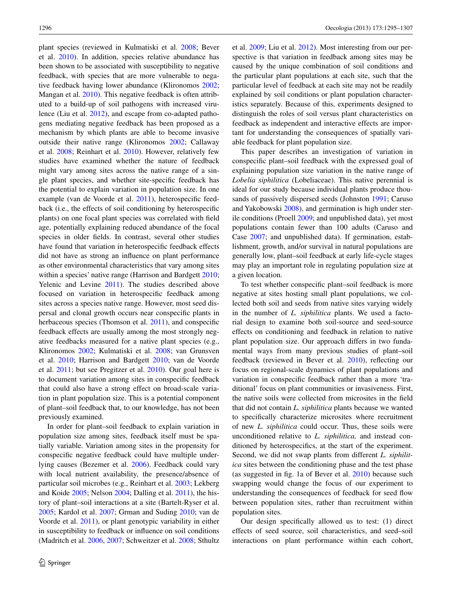plant species (reviewed in Kulmatiski et al. [2008;](#page-11-6) Bever et al. [2010](#page-10-1)). In addition, species relative abundance has been shown to be associated with susceptibility to negative feedback, with species that are more vulnerable to negative feedback having lower abundance (Klironomos [2002](#page-11-7); Mangan et al. [2010\)](#page-11-4). This negative feedback is often attributed to a build-up of soil pathogens with increased virulence (Liu et al. [2012](#page-11-5)), and escape from co-adapted pathogens mediating negative feedback has been proposed as a mechanism by which plants are able to become invasive outside their native range (Klironomos [2002](#page-11-7); Callaway et al. [2008;](#page-11-8) Reinhart et al. [2010\)](#page-11-9). However, relatively few studies have examined whether the nature of feedback might vary among sites across the native range of a single plant species, and whether site-specific feedback has the potential to explain variation in population size. In one example (van de Voorde et al. [2011\)](#page-12-3), heterospecific feedback (i.e., the effects of soil conditioning by heterospecific plants) on one focal plant species was correlated with field age, potentially explaining reduced abundance of the focal species in older fields. In contrast, several other studies have found that variation in heterospecific feedback effects did not have as strong an influence on plant performance as other environmental characteristics that vary among sites within a species' native range (Harrison and Bardgett [2010](#page-11-10); Yelenic and Levine [2011](#page-12-4)). The studies described above focused on variation in heterospecific feedback among sites across a species native range. However, most seed dispersal and clonal growth occurs near conspecific plants in herbaceous species (Thomson et al. [2011\)](#page-12-5), and conspecific feedback effects are usually among the most strongly negative feedbacks measured for a native plant species (e.g., Klironomos [2002](#page-11-7); Kulmatiski et al. [2008;](#page-11-6) van Grunsven et al. [2010;](#page-12-6) Harrison and Bardgett [2010](#page-11-10); van de Voorde et al. [2011](#page-12-3); but see Pregitzer et al. [2010](#page-11-11)). Our goal here is to document variation among sites in conspecific feedback that could also have a strong effect on broad-scale variation in plant population size. This is a potential component of plant–soil feedback that, to our knowledge, has not been previously examined.

In order for plant–soil feedback to explain variation in population size among sites, feedback itself must be spatially variable. Variation among sites in the propensity for conspecific negative feedback could have multiple underlying causes (Bezemer et al. [2006](#page-10-4)). Feedback could vary with local nutrient availability, the presence/absence of particular soil microbes (e.g., Reinhart et al. [2003;](#page-11-12) Lekberg and Koide [2005;](#page-11-13) Nelson [2004;](#page-11-14) Dalling et al. [2011\)](#page-11-15), the history of plant–soil interactions at a site (Bartelt-Ryser et al. [2005;](#page-10-5) Kardol et al. [2007;](#page-11-16) Grman and Suding [2010;](#page-11-17) van de Voorde et al. [2011\)](#page-12-3), or plant genotypic variability in either in susceptibility to feedback or influence on soil conditions (Madritch et al. [2006,](#page-11-18) [2007;](#page-11-19) Schweitzer et al. [2008](#page-11-20); Sthultz et al. [2009;](#page-12-7) Liu et al. [2012](#page-11-5)). Most interesting from our perspective is that variation in feedback among sites may be caused by the unique combination of soil conditions and the particular plant populations at each site, such that the particular level of feedback at each site may not be readily explained by soil conditions or plant population characteristics separately. Because of this, experiments designed to distinguish the roles of soil versus plant characteristics on feedback as independent and interactive effects are important for understanding the consequences of spatially variable feedback for plant population size.

This paper describes an investigation of variation in conspecific plant–soil feedback with the expressed goal of explaining population size variation in the native range of *Lobelia siphilitica* (Lobeliaceae). This native perennial is ideal for our study because individual plants produce thousands of passively dispersed seeds (Johnston [1991](#page-11-21); Caruso and Yakobowski [2008](#page-11-22)), and germination is high under sterile conditions (Proell [2009](#page-11-23); and unpublished data), yet most populations contain fewer than 100 adults (Caruso and Case [2007;](#page-11-24) and unpublished data). If germination, establishment, growth, and/or survival in natural populations are generally low, plant–soil feedback at early life-cycle stages may play an important role in regulating population size at a given location.

To test whether conspecific plant–soil feedback is more negative at sites hosting small plant populations, we collected both soil and seeds from native sites varying widely in the number of *L. siphilitica* plants. We used a factorial design to examine both soil-source and seed-source effects on conditioning and feedback in relation to native plant population size. Our approach differs in two fundamental ways from many previous studies of plant–soil feedback (reviewed in Bever et al. [2010\)](#page-10-1), reflecting our focus on regional-scale dynamics of plant populations and variation in conspecific feedback rather than a more 'traditional' focus on plant communities or invasiveness. First, the native soils were collected from microsites in the field that did not contain *L. siphilitica* plants because we wanted to specifically characterize microsites where recruitment of new *L. siphilitica* could occur. Thus, these soils were unconditioned relative to *L. siphilitica,* and instead conditioned by heterospecifics, at the start of the experiment. Second, we did not swap plants from different *L. siphilit ica* sites between the conditioning phase and the test phase (as suggested in fig. 1a of Bever et al. [2010\)](#page-10-1) because such swapping would change the focus of our experiment to understanding the consequences of feedback for seed flow between population sites, rather than recruitment within population sites.

Our design specifically allowed us to test: (1) direct effects of seed source, soil characteristics, and seed–soil interactions on plant performance within each cohort,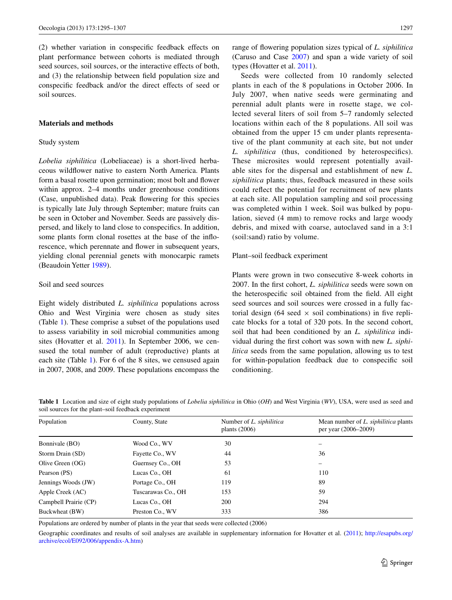(2) whether variation in conspecific feedback effects on plant performance between cohorts is mediated through seed sources, soil sources, or the interactive effects of both, and (3) the relationship between field population size and conspecific feedback and/or the direct effects of seed or soil sources.

## **Materials and methods**

# Study system

*Lobelia siphilitica* (Lobeliaceae) is a short-lived herbaceous wildflower native to eastern North America. Plants form a basal rosette upon germination; most bolt and flower within approx. 2–4 months under greenhouse conditions (Case, unpublished data). Peak flowering for this species is typically late July through September; mature fruits can be seen in October and November. Seeds are passively dispersed, and likely to land close to conspecifics. In addition, some plants form clonal rosettes at the base of the inflorescence, which perennate and flower in subsequent years, yielding clonal perennial genets with monocarpic ramets (Beaudoin Yetter [1989\)](#page-10-6).

## Soil and seed sources

Eight widely distributed *L. siphilitica* populations across Ohio and West Virginia were chosen as study sites (Table [1](#page-2-0)). These comprise a subset of the populations used to assess variability in soil microbial communities among sites (Hovatter et al. [2011](#page-11-25)). In September 2006, we censused the total number of adult (reproductive) plants at each site (Table [1](#page-2-0)). For 6 of the 8 sites, we censused again in 2007, 2008, and 2009. These populations encompass the range of flowering population sizes typical of *L. siphilitica* (Caruso and Case [2007](#page-11-24)) and span a wide variety of soil types (Hovatter et al. [2011](#page-11-25)).

Seeds were collected from 10 randomly selected plants in each of the 8 populations in October 2006. In July 2007, when native seeds were germinating and perennial adult plants were in rosette stage, we collected several liters of soil from 5–7 randomly selected locations within each of the 8 populations. All soil was obtained from the upper 15 cm under plants representative of the plant community at each site, but not under *L. siphilitica* (thus, conditioned by heterospecifics). These microsites would represent potentially available sites for the dispersal and establishment of new *L. siphilitica* plants; thus, feedback measured in these soils could reflect the potential for recruitment of new plants at each site. All population sampling and soil processing was completed within 1 week. Soil was bulked by population, sieved (4 mm) to remove rocks and large woody debris, and mixed with coarse, autoclaved sand in a 3:1 (soil:sand) ratio by volume.

## Plant–soil feedback experiment

Plants were grown in two consecutive 8-week cohorts in 2007. In the first cohort, *L. siphilitica* seeds were sown on the heterospecific soil obtained from the field. All eight seed sources and soil sources were crossed in a fully factorial design (64 seed  $\times$  soil combinations) in five replicate blocks for a total of 320 pots. In the second cohort, soil that had been conditioned by an *L. siphilitica* individual during the first cohort was sown with new *L. siphi‑ litica* seeds from the same population, allowing us to test for within-population feedback due to conspecific soil conditioning.

<span id="page-2-0"></span>**Table 1** Location and size of eight study populations of *Lobelia siphilitica* in Ohio (*OH*) and West Virginia (*WV*), USA, were used as seed and soil sources for the plant–soil feedback experiment

| Population            | County, State      | Number of L. siphilitica | Mean number of <i>L. siphilitica</i> plants |
|-----------------------|--------------------|--------------------------|---------------------------------------------|
|                       |                    | plants $(2006)$          | per year (2006–2009)                        |
| Bonnivale (BO)        | Wood Co., WV       | 30                       |                                             |
| Storm Drain (SD)      | Fayette Co., WV    | 44                       | 36                                          |
| Olive Green (OG)      | Guernsey Co., OH   | 53                       | -                                           |
| Pearson (PS)          | Lucas Co., OH      | 61                       | 110                                         |
| Jennings Woods (JW)   | Portage Co., OH    | 119                      | 89                                          |
| Apple Creek (AC)      | Tuscarawas Co., OH | 153                      | 59                                          |
| Campbell Prairie (CP) | Lucas Co., OH      | <b>200</b>               | 294                                         |
| Buckwheat (BW)        | Preston Co., WV    | 333                      | 386                                         |

Populations are ordered by number of plants in the year that seeds were collected (2006)

Geographic coordinates and results of soil analyses are available in supplementary information for Hovatter et al. [\(2011](#page-11-25)); [http://esapubs.org/](http://esapubs.org/archive/ecol/E092/006/appendix-A.htm) [archive/ecol/E092/006/appendix-A.htm](http://esapubs.org/archive/ecol/E092/006/appendix-A.htm))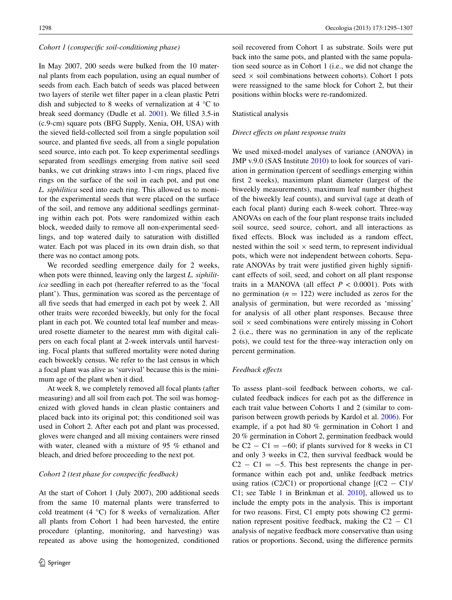## *Cohort 1 (conspecific soil‑conditioning phase)*

In May 2007, 200 seeds were bulked from the 10 maternal plants from each population, using an equal number of seeds from each. Each batch of seeds was placed between two layers of sterile wet filter paper in a clean plastic Petri dish and subjected to 8 weeks of vernalization at 4 °C to break seed dormancy (Dudle et al. [2001](#page-11-26)). We filled 3.5-in (c.9-cm) square pots (BFG Supply, Xenia, OH, USA) with the sieved field-collected soil from a single population soil source, and planted five seeds, all from a single population seed source, into each pot. To keep experimental seedlings separated from seedlings emerging from native soil seed banks, we cut drinking straws into 1-cm rings, placed five rings on the surface of the soil in each pot, and put one *L. siphilitica* seed into each ring. This allowed us to monitor the experimental seeds that were placed on the surface of the soil, and remove any additional seedlings germinating within each pot. Pots were randomized within each block, weeded daily to remove all non-experimental seedlings, and top watered daily to saturation with distilled water. Each pot was placed in its own drain dish, so that there was no contact among pots.

We recorded seedling emergence daily for 2 weeks, when pots were thinned, leaving only the largest *L. siphilit ica* seedling in each pot (hereafter referred to as the 'focal plant'). Thus, germination was scored as the percentage of all five seeds that had emerged in each pot by week 2. All other traits were recorded biweekly, but only for the focal plant in each pot. We counted total leaf number and measured rosette diameter to the nearest mm with digital calipers on each focal plant at 2-week intervals until harvesting. Focal plants that suffered mortality were noted during each biweekly census. We refer to the last census in which a focal plant was alive as 'survival' because this is the minimum age of the plant when it died.

At week 8, we completely removed all focal plants (after measuring) and all soil from each pot. The soil was homogenized with gloved hands in clean plastic containers and placed back into its original pot; this conditioned soil was used in Cohort 2. After each pot and plant was processed, gloves were changed and all mixing containers were rinsed with water, cleaned with a mixture of 95 % ethanol and bleach, and dried before proceeding to the next pot.

#### *Cohort 2 (test phase for conspecific feedback)*

At the start of Cohort 1 (July 2007), 200 additional seeds from the same 10 maternal plants were transferred to cold treatment (4 °C) for 8 weeks of vernalization. After all plants from Cohort 1 had been harvested, the entire procedure (planting, monitoring, and harvesting) was repeated as above using the homogenized, conditioned

soil recovered from Cohort 1 as substrate. Soils were put back into the same pots, and planted with the same population seed source as in Cohort 1 (i.e., we did not change the seed  $\times$  soil combinations between cohorts). Cohort 1 pots were reassigned to the same block for Cohort 2, but their positions within blocks were re-randomized.

### Statistical analysis

#### *Direct effects on plant response traits*

We used mixed-model analyses of variance (ANOVA) in JMP v.9.0 (SAS Institute [2010\)](#page-11-27) to look for sources of variation in germination (percent of seedlings emerging within first 2 weeks), maximum plant diameter (largest of the biweekly measurements), maximum leaf number (highest of the biweekly leaf counts), and survival (age at death of each focal plant) during each 8-week cohort. Three-way ANOVAs on each of the four plant response traits included soil source, seed source, cohort, and all interactions as fixed effects. Block was included as a random effect, nested within the soil  $\times$  seed term, to represent individual pots, which were not independent between cohorts. Separate ANOVAs by trait were justified given highly significant effects of soil, seed, and cohort on all plant response traits in a MANOVA (all effect  $P < 0.0001$ ). Pots with no germination ( $n = 122$ ) were included as zeros for the analysis of germination, but were recorded as 'missing' for analysis of all other plant responses. Because three soil  $\times$  seed combinations were entirely missing in Cohort 2 (i.e., there was no germination in any of the replicate pots), we could test for the three-way interaction only on percent germination.

#### *Feedback effects*

To assess plant–soil feedback between cohorts, we calculated feedback indices for each pot as the difference in each trait value between Cohorts 1 and 2 (similar to comparison between growth periods by Kardol et al. [2006](#page-11-28)). For example, if a pot had 80 % germination in Cohort 1 and 20 % germination in Cohort 2, germination feedback would be  $C2 - C1 = -60$ ; if plants survived for 8 weeks in C1 and only 3 weeks in C2, then survival feedback would be  $C2 - C1 = -5$ . This best represents the change in performance within each pot and, unlike feedback metrics using ratios (C2/C1) or proportional change  $[(C2 - C1)/$ C1; see Table [1](#page-2-0) in Brinkman et al. [2010\]](#page-11-29), allowed us to include the empty pots in the analysis. This is important for two reasons. First, C1 empty pots showing C2 germination represent positive feedback, making the  $C2 - C1$ analysis of negative feedback more conservative than using ratios or proportions. Second, using the difference permits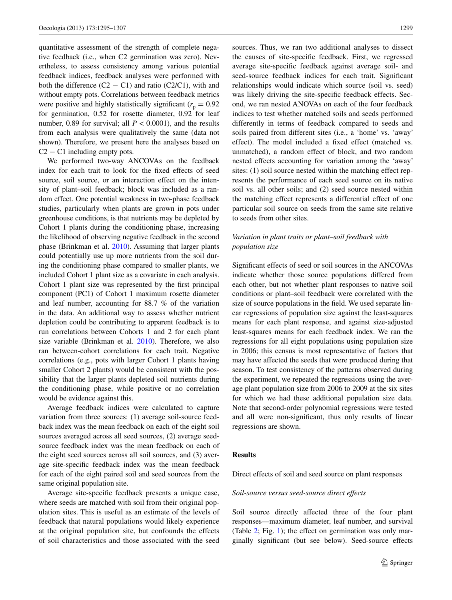quantitative assessment of the strength of complete negative feedback (i.e., when C2 germination was zero). Nevertheless, to assess consistency among various potential feedback indices, feedback analyses were performed with both the difference  $(C2 - C1)$  and ratio  $(C2/C1)$ , with and without empty pots. Correlations between feedback metrics were positive and highly statistically significant  $(r_p = 0.92)$ for germination, 0.52 for rosette diameter, 0.92 for leaf number, 0.89 for survival; all  $P < 0.0001$ ), and the results from each analysis were qualitatively the same (data not shown). Therefore, we present here the analyses based on  $C2 - C1$  including empty pots.

We performed two-way ANCOVAs on the feedback index for each trait to look for the fixed effects of seed source, soil source, or an interaction effect on the intensity of plant–soil feedback; block was included as a random effect. One potential weakness in two-phase feedback studies, particularly when plants are grown in pots under greenhouse conditions, is that nutrients may be depleted by Cohort 1 plants during the conditioning phase, increasing the likelihood of observing negative feedback in the second phase (Brinkman et al. [2010\)](#page-11-29). Assuming that larger plants could potentially use up more nutrients from the soil during the conditioning phase compared to smaller plants, we included Cohort 1 plant size as a covariate in each analysis. Cohort 1 plant size was represented by the first principal component (PC1) of Cohort 1 maximum rosette diameter and leaf number, accounting for 88.7 % of the variation in the data. An additional way to assess whether nutrient depletion could be contributing to apparent feedback is to run correlations between Cohorts 1 and 2 for each plant size variable (Brinkman et al. [2010\)](#page-11-29). Therefore, we also ran between-cohort correlations for each trait. Negative correlations (e.g., pots with larger Cohort 1 plants having smaller Cohort 2 plants) would be consistent with the possibility that the larger plants depleted soil nutrients during the conditioning phase, while positive or no correlation would be evidence against this.

Average feedback indices were calculated to capture variation from three sources: (1) average soil-source feedback index was the mean feedback on each of the eight soil sources averaged across all seed sources, (2) average seedsource feedback index was the mean feedback on each of the eight seed sources across all soil sources, and (3) average site-specific feedback index was the mean feedback for each of the eight paired soil and seed sources from the same original population site.

Average site-specific feedback presents a unique case, where seeds are matched with soil from their original population sites. This is useful as an estimate of the levels of feedback that natural populations would likely experience at the original population site, but confounds the effects of soil characteristics and those associated with the seed

sources. Thus, we ran two additional analyses to dissect the causes of site-specific feedback. First, we regressed average site-specific feedback against average soil- and seed-source feedback indices for each trait. Significant relationships would indicate which source (soil vs. seed) was likely driving the site-specific feedback effects. Second, we ran nested ANOVAs on each of the four feedback indices to test whether matched soils and seeds performed differently in terms of feedback compared to seeds and soils paired from different sites (i.e., a 'home' vs. 'away' effect). The model included a fixed effect (matched vs. unmatched), a random effect of block, and two random nested effects accounting for variation among the 'away' sites: (1) soil source nested within the matching effect represents the performance of each seed source on its native soil vs. all other soils; and (2) seed source nested within the matching effect represents a differential effect of one particular soil source on seeds from the same site relative to seeds from other sites.

# *Variation in plant traits or plant–soil feedback with population size*

Significant effects of seed or soil sources in the ANCOVAs indicate whether those source populations differed from each other, but not whether plant responses to native soil conditions or plant–soil feedback were correlated with the size of source populations in the field. We used separate linear regressions of population size against the least-squares means for each plant response, and against size-adjusted least-squares means for each feedback index. We ran the regressions for all eight populations using population size in 2006; this census is most representative of factors that may have affected the seeds that were produced during that season. To test consistency of the patterns observed during the experiment, we repeated the regressions using the average plant population size from 2006 to 2009 at the six sites for which we had these additional population size data. Note that second-order polynomial regressions were tested and all were non-significant, thus only results of linear regressions are shown.

## **Results**

Direct effects of soil and seed source on plant responses

#### *Soil‑source versus seed‑source direct effects*

Soil source directly affected three of the four plant responses—maximum diameter, leaf number, and survival (Table [2;](#page-5-0) Fig. [1\)](#page-5-1); the effect on germination was only marginally significant (but see below). Seed-source effects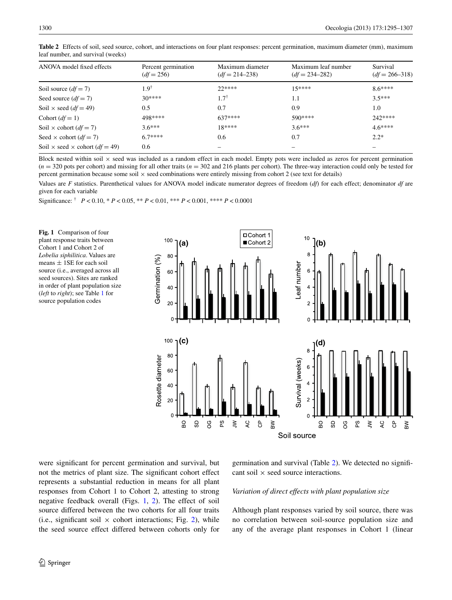| ANOVA model fixed effects                            | Percent germination<br>$(df = 256)$ | Maximum diameter<br>$(df = 214 - 238)$ | Maximum leaf number<br>$(df = 234 - 282)$ | Survival<br>$(df = 266 - 318)$ |
|------------------------------------------------------|-------------------------------------|----------------------------------------|-------------------------------------------|--------------------------------|
| Soil source $(df = 7)$                               | $1.9^{\dagger}$                     | $22***$                                | $15****$                                  | $8.6***$                       |
| Seed source $(df = 7)$                               | $30***$                             | $1.7^{\dagger}$                        | 1.1                                       | $3.5***$                       |
| Soil $\times$ seed ( <i>df</i> = 49)                 | 0.5                                 | 0.7                                    | 0.9                                       | 1.0                            |
| Cohort $(df = 1)$                                    | 498****                             | $637***$                               | $590***$                                  | $242***$                       |
| Soil $\times$ cohort ( <i>df</i> = 7)                | $3.6***$                            | $18****$                               | $3.6***$                                  | $4.6***$                       |
| Seed $\times$ cohort ( <i>df</i> = 7)                | $67***$                             | 0.6                                    | 0.7                                       | $2.2*$                         |
| Soil $\times$ seed $\times$ cohort ( <i>df</i> = 49) | 0.6                                 |                                        |                                           |                                |

<span id="page-5-0"></span>**Table 2** Effects of soil, seed source, cohort, and interactions on four plant responses: percent germination, maximum diameter (mm), maximum leaf number, and survival (weeks)

Block nested within soil  $\times$  seed was included as a random effect in each model. Empty pots were included as zeros for percent germination  $(n = 320 \text{ post per cohort})$  and missing for all other traits  $(n = 302 \text{ and } 216 \text{ plants per cohort})$ . The three-way interaction could only be tested for percent germination because some soil  $\times$  seed combinations were entirely missing from cohort 2 (see text for details)

Values are *F* statistics. Parenthetical values for ANOVA model indicate numerator degrees of freedom (*df*) for each effect; denominator *df* are given for each variable

Significance: † *P* < 0.10, \* *P* < 0.05, \*\* *P* < 0.01, \*\*\* *P* < 0.001, \*\*\*\* *P* < 0.0001

<span id="page-5-1"></span>**Fig. 1** Comparison of four plant response traits between Cohort 1 and Cohort 2 of *Lobelia siphilitica*. Values are means  $\pm$  1SE for each soil source (i.e., averaged across all seed sources). Sites are ranked in order of plant population size (*left* to *right*); see Table [1](#page-2-0) for source population codes



were significant for percent germination and survival, but not the metrics of plant size. The significant cohort effect represents a substantial reduction in means for all plant responses from Cohort 1 to Cohort 2, attesting to strong negative feedback overall (Figs. [1](#page-5-1), [2](#page-6-0)). The effect of soil source differed between the two cohorts for all four traits (i.e., significant soil  $\times$  cohort interactions; Fig. [2](#page-6-0)), while the seed source effect differed between cohorts only for germination and survival (Table [2](#page-5-0)). We detected no significant soil  $\times$  seed source interactions.

## *Variation of direct effects with plant population size*

Although plant responses varied by soil source, there was no correlation between soil-source population size and any of the average plant responses in Cohort 1 (linear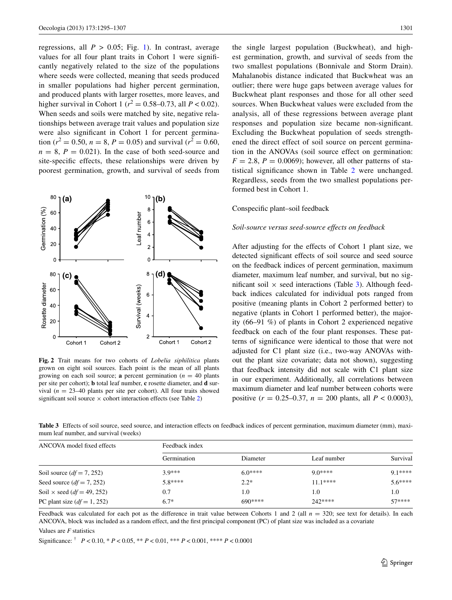regressions, all  $P > 0.05$ ; Fig. [1](#page-5-1)). In contrast, average values for all four plant traits in Cohort 1 were significantly negatively related to the size of the populations where seeds were collected, meaning that seeds produced in smaller populations had higher percent germination, and produced plants with larger rosettes, more leaves, and higher survival in Cohort 1 ( $r^2 = 0.58 - 0.73$ , all  $P < 0.02$ ). When seeds and soils were matched by site, negative relationships between average trait values and population size were also significant in Cohort 1 for percent germination ( $r^2 = 0.50$ ,  $n = 8$ ,  $P = 0.05$ ) and survival ( $r^2 = 0.60$ ,  $n = 8$ ,  $P = 0.021$ . In the case of both seed-source and site-specific effects, these relationships were driven by poorest germination, growth, and survival of seeds from



<span id="page-6-0"></span>**Fig. 2** Trait means for two cohorts of *Lobelia siphilitica* plants grown on eight soil sources. Each point is the mean of all plants growing on each soil source; **a** percent germination ( $n = 40$  plants per site per cohort); **b** total leaf number, **c** rosette diameter, and **d** survival  $(n = 23-40)$  plants per site per cohort). All four traits showed significant soil source  $\times$  cohort interaction effects (see Table [2\)](#page-5-0)

the single largest population (Buckwheat), and highest germination, growth, and survival of seeds from the two smallest populations (Bonnivale and Storm Drain). Mahalanobis distance indicated that Buckwheat was an outlier; there were huge gaps between average values for Buckwheat plant responses and those for all other seed sources. When Buckwheat values were excluded from the analysis, all of these regressions between average plant responses and population size became non-significant. Excluding the Buckwheat population of seeds strengthened the direct effect of soil source on percent germination in the ANOVAs (soil source effect on germination:  $F = 2.8$ ,  $P = 0.0069$ ; however, all other patterns of statistical significance shown in Table [2](#page-5-0) were unchanged. Regardless, seeds from the two smallest populations performed best in Cohort 1.

### Conspecific plant–soil feedback

#### *Soil‑source versus seed‑source effects on feedback*

After adjusting for the effects of Cohort 1 plant size, we detected significant effects of soil source and seed source on the feedback indices of percent germination, maximum diameter, maximum leaf number, and survival, but no significant soil  $\times$  seed interactions (Table [3\)](#page-6-1). Although feedback indices calculated for individual pots ranged from positive (meaning plants in Cohort 2 performed better) to negative (plants in Cohort 1 performed better), the majority (66–91 %) of plants in Cohort 2 experienced negative feedback on each of the four plant responses. These patterns of significance were identical to those that were not adjusted for C1 plant size (i.e., two-way ANOVAs without the plant size covariate; data not shown), suggesting that feedback intensity did not scale with C1 plant size in our experiment. Additionally, all correlations between maximum diameter and leaf number between cohorts were positive  $(r = 0.25{\text -}0.37, n = 200 \text{ plants}, \text{ all } P < 0.0003$ ),

<span id="page-6-1"></span>**Table 3** Effects of soil source, seed source, and interaction effects on feedback indices of percent germination, maximum diameter (mm), maximum leaf number, and survival (weeks)

| ANCOVA model fixed effects                | Feedback index     |          |             |          |  |
|-------------------------------------------|--------------------|----------|-------------|----------|--|
|                                           | <b>Germination</b> | Diameter | Leaf number | Survival |  |
| Soil source $(df = 7, 252)$               | $3.9***$           | $6.0***$ | $9.0****$   | $91***$  |  |
| Seed source $(df = 7, 252)$               | $5.8****$          | $2.2*$   | $11.1***$   | $5.6***$ |  |
| Soil $\times$ seed ( <i>df</i> = 49, 252) | 0.7                | 1.0      | 1.0         | 1.0      |  |
| PC plant size $(df = 1, 252)$             | $6.7*$             | $690***$ | 242****     | $57****$ |  |

Feedback was calculated for each pot as the difference in trait value between Cohorts 1 and 2 (all  $n = 320$ ; see text for details). In each ANCOVA, block was included as a random effect, and the first principal component (PC) of plant size was included as a covariate

Values are *F* statistics

Significance: † *P* < 0.10, \* *P* < 0.05, \*\* *P* < 0.01, \*\*\* *P* < 0.001, \*\*\*\* *P* < 0.0001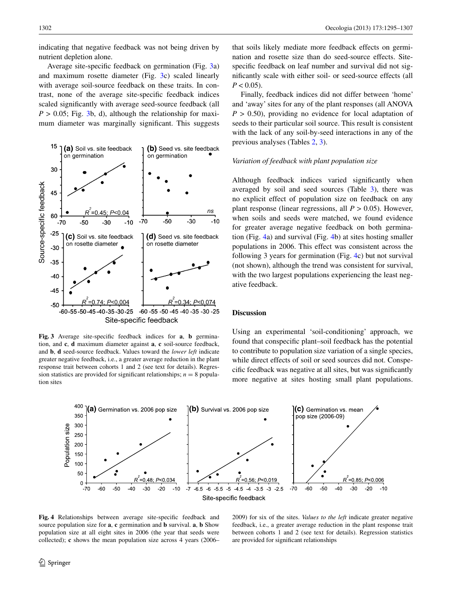indicating that negative feedback was not being driven by nutrient depletion alone.

Average site-specific feedback on germination (Fig. [3](#page-7-0)a) and maximum rosette diameter (Fig. [3](#page-7-0)c) scaled linearly with average soil-source feedback on these traits. In contrast, none of the average site-specific feedback indices scaled significantly with average seed-source feedback (all  $P > 0.05$ ; Fig. [3b](#page-7-0), d), although the relationship for maximum diameter was marginally significant. This suggests



<span id="page-7-0"></span>**Fig. 3** Average site-specific feedback indices for **a**, **b** germination, and **c**, **d** maximum diameter against **a**, **c** soil-source feedback, and **b**, **d** seed-source feedback. Values toward the *lower left* indicate greater negative feedback, i.e., a greater average reduction in the plant response trait between cohorts 1 and 2 (see text for details). Regression statistics are provided for significant relationships;  $n = 8$  population sites

that soils likely mediate more feedback effects on germination and rosette size than do seed-source effects. Sitespecific feedback on leaf number and survival did not significantly scale with either soil- or seed-source effects (all  $P < 0.05$ ).

Finally, feedback indices did not differ between 'home' and 'away' sites for any of the plant responses (all ANOVA *P* > 0.50), providing no evidence for local adaptation of seeds to their particular soil source. This result is consistent with the lack of any soil-by-seed interactions in any of the previous analyses (Tables [2,](#page-5-0) [3\)](#page-6-1).

#### *Variation of feedback with plant population size*

Although feedback indices varied significantly when averaged by soil and seed sources (Table [3](#page-6-1)), there was no explicit effect of population size on feedback on any plant response (linear regressions, all  $P > 0.05$ ). However, when soils and seeds were matched, we found evidence for greater average negative feedback on both germination (Fig. [4](#page-7-1)a) and survival (Fig. [4b](#page-7-1)) at sites hosting smaller populations in 2006. This effect was consistent across the following 3 years for germination (Fig. [4](#page-7-1)c) but not survival (not shown), although the trend was consistent for survival, with the two largest populations experiencing the least negative feedback.

## **Discussion**

Using an experimental 'soil-conditioning' approach, we found that conspecific plant–soil feedback has the potential to contribute to population size variation of a single species, while direct effects of soil or seed sources did not. Conspecific feedback was negative at all sites, but was significantly more negative at sites hosting small plant populations.



<span id="page-7-1"></span>**Fig. 4** Relationships between average site-specific feedback and source population size for **a**, **c** germination and **b** survival. **a**, **b** Show population size at all eight sites in 2006 (the year that seeds were collected); **c** shows the mean population size across 4 years (2006–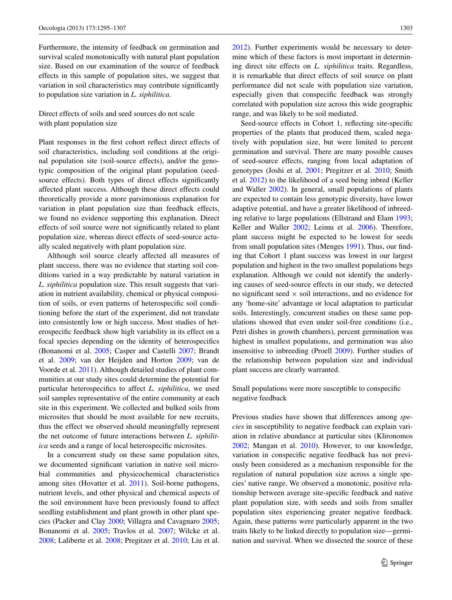Furthermore, the intensity of feedback on germination and survival scaled monotonically with natural plant population size. Based on our examination of the source of feedback effects in this sample of population sites, we suggest that variation in soil characteristics may contribute significantly to population size variation in *L. siphilitica*.

# Direct effects of soils and seed sources do not scale with plant population size

Plant responses in the first cohort reflect direct effects of soil characteristics, including soil conditions at the original population site (soil-source effects), and/or the genotypic composition of the original plant population (seedsource effects). Both types of direct effects significantly affected plant success. Although these direct effects could theoretically provide a more parsimonious explanation for variation in plant population size than feedback effects, we found no evidence supporting this explanation. Direct effects of soil source were not significantly related to plant population size, whereas direct effects of seed-source actually scaled negatively with plant population size.

Although soil source clearly affected all measures of plant success, there was no evidence that starting soil conditions varied in a way predictable by natural variation in *L. siphilitica* population size. This result suggests that variation in nutrient availability, chemical or physical composition of soils, or even patterns of heterospecific soil conditioning before the start of the experiment, did not translate into consistently low or high success. Most studies of heterospecific feedback show high variability in its effect on a focal species depending on the identity of heterospecifics (Bonanomi et al. [2005](#page-10-2); Casper and Castelli [2007](#page-11-1); Brandt et al. [2009](#page-10-7); van der Heijden and Horton [2009;](#page-12-1) van de Voorde et al. [2011\)](#page-12-3). Although detailed studies of plant communities at our study sites could determine the potential for particular heterospecifics to affect *L. siphilitica*, we used soil samples representative of the entire community at each site in this experiment. We collected and bulked soils from microsites that should be most available for new recruits, thus the effect we observed should meaningfully represent the net outcome of future interactions between *L. siphilit ica* seeds and a range of local heterospecific microsites.

In a concurrent study on these same population sites, we documented significant variation in native soil microbial communities and physicochemical characteristics among sites (Hovatter et al. [2011](#page-11-25)). Soil-borne pathogens, nutrient levels, and other physical and chemical aspects of the soil environment have been previously found to affect seedling establishment and plant growth in other plant species (Packer and Clay [2000](#page-11-2); Villagra and Cavagnaro [2005](#page-12-8); Bonanomi et al. [2005](#page-10-2); Travlos et al. [2007;](#page-12-9) Wilcke et al. [2008](#page-12-10); Laliberte et al. [2008;](#page-11-30) Pregitzer et al. [2010;](#page-11-11) Liu et al. [2012](#page-11-5)). Further experiments would be necessary to determine which of these factors is most important in determining direct site effects on *L. siphilitica* traits. Regardless, it is remarkable that direct effects of soil source on plant performance did not scale with population size variation, especially given that conspecific feedback was strongly correlated with population size across this wide geographic range, and was likely to be soil mediated.

Seed-source effects in Cohort 1, reflecting site-specific properties of the plants that produced them, scaled negatively with population size, but were limited to percent germination and survival. There are many possible causes of seed-source effects, ranging from local adaptation of genotypes (Joshi et al. [2001;](#page-11-31) Pregitzer et al. [2010;](#page-11-11) Smith et al. [2012\)](#page-12-11) to the likelihood of a seed being inbred (Keller and Waller [2002](#page-11-32)). In general, small populations of plants are expected to contain less genotypic diversity, have lower adaptive potential, and have a greater likelihood of inbreeding relative to large populations (Ellstrand and Elam [1993](#page-11-33); Keller and Waller [2002](#page-11-32); Leimu et al. [2006\)](#page-11-34). Therefore, plant success might be expected to be lowest for seeds from small population sites (Menges [1991\)](#page-11-35). Thus, our finding that Cohort 1 plant success was lowest in our largest population and highest in the two smallest populations begs explanation. Although we could not identify the underlying causes of seed-source effects in our study, we detected no significant seed  $\times$  soil interactions, and no evidence for any 'home-site' advantage or local adaptation to particular soils. Interestingly, concurrent studies on these same populations showed that even under soil-free conditions (i.e., Petri dishes in growth chambers), percent germination was highest in smallest populations, and germination was also insensitive to inbreeding (Proell [2009](#page-11-23)). Further studies of the relationship between population size and individual plant success are clearly warranted.

Small populations were more susceptible to conspecific negative feedback

Previous studies have shown that differences among *spe‑ cies* in susceptibility to negative feedback can explain variation in relative abundance at particular sites (Klironomos [2002](#page-11-7); Mangan et al. [2010\)](#page-11-4). However, to our knowledge, variation in conspecific negative feedback has not previously been considered as a mechanism responsible for the regulation of natural population size across a single species' native range. We observed a monotonic, positive relationship between average site-specific feedback and native plant population size, with seeds and soils from smaller population sites experiencing greater negative feedback. Again, these patterns were particularly apparent in the two traits likely to be linked directly to population size—germination and survival. When we dissected the source of these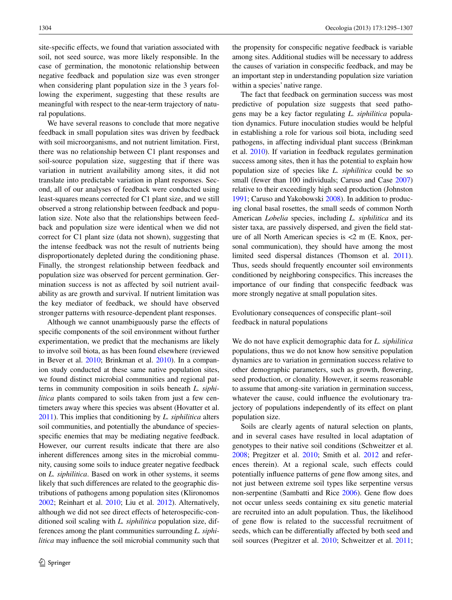site-specific effects, we found that variation associated with soil, not seed source, was more likely responsible. In the case of germination, the monotonic relationship between negative feedback and population size was even stronger when considering plant population size in the 3 years following the experiment, suggesting that these results are meaningful with respect to the near-term trajectory of natural populations.

We have several reasons to conclude that more negative feedback in small population sites was driven by feedback with soil microorganisms, and not nutrient limitation. First, there was no relationship between C1 plant responses and soil-source population size, suggesting that if there was variation in nutrient availability among sites, it did not translate into predictable variation in plant responses. Second, all of our analyses of feedback were conducted using least-squares means corrected for C1 plant size, and we still observed a strong relationship between feedback and population size. Note also that the relationships between feedback and population size were identical when we did not correct for C1 plant size (data not shown), suggesting that the intense feedback was not the result of nutrients being disproportionately depleted during the conditioning phase. Finally, the strongest relationship between feedback and population size was observed for percent germination. Germination success is not as affected by soil nutrient availability as are growth and survival. If nutrient limitation was the key mediator of feedback, we should have observed stronger patterns with resource-dependent plant responses.

Although we cannot unambiguously parse the effects of specific components of the soil environment without further experimentation, we predict that the mechanisms are likely to involve soil biota, as has been found elsewhere (reviewed in Bever et al. [2010;](#page-10-1) Brinkman et al. [2010](#page-11-29)). In a companion study conducted at these same native population sites, we found distinct microbial communities and regional patterns in community composition in soils beneath *L. siphi‑ litica* plants compared to soils taken from just a few centimeters away where this species was absent (Hovatter et al. [2011\)](#page-11-25). This implies that conditioning by *L. siphilitica* alters soil communities, and potentially the abundance of speciesspecific enemies that may be mediating negative feedback. However, our current results indicate that there are also inherent differences among sites in the microbial community, causing some soils to induce greater negative feedback on *L. siphilitica*. Based on work in other systems, it seems likely that such differences are related to the geographic distributions of pathogens among population sites (Klironomos [2002;](#page-11-7) Reinhart et al. [2010;](#page-11-9) Liu et al. [2012\)](#page-11-5). Alternatively, although we did not see direct effects of heterospecific-conditioned soil scaling with *L. siphilitica* population size, differences among the plant communities surrounding *L. siphi‑ litica* may influence the soil microbial community such that the propensity for conspecific negative feedback is variable among sites. Additional studies will be necessary to address the causes of variation in conspecific feedback, and may be an important step in understanding population size variation within a species' native range.

The fact that feedback on germination success was most predictive of population size suggests that seed pathogens may be a key factor regulating *L. siphilitica* population dynamics. Future inoculation studies would be helpful in establishing a role for various soil biota, including seed pathogens, in affecting individual plant success (Brinkman et al. [2010\)](#page-11-29). If variation in feedback regulates germination success among sites, then it has the potential to explain how population size of species like *L. siphilitica* could be so small (fewer than 100 individuals; Caruso and Case [2007\)](#page-11-24) relative to their exceedingly high seed production (Johnston [1991;](#page-11-21) Caruso and Yakobowski [2008\)](#page-11-22). In addition to producing clonal basal rosettes, the small seeds of common North American *Lobelia* species, including *L. siphilitica* and its sister taxa, are passively dispersed, and given the field stature of all North American species is <2 m (E. Knox, personal communication), they should have among the most limited seed dispersal distances (Thomson et al. [2011](#page-12-5)). Thus, seeds should frequently encounter soil environments conditioned by neighboring conspecifics. This increases the importance of our finding that conspecific feedback was more strongly negative at small population sites.

# Evolutionary consequences of conspecific plant–soil feedback in natural populations

We do not have explicit demographic data for *L. siphilitica* populations, thus we do not know how sensitive population dynamics are to variation in germination success relative to other demographic parameters, such as growth, flowering, seed production, or clonality. However, it seems reasonable to assume that among-site variation in germination success, whatever the cause, could influence the evolutionary trajectory of populations independently of its effect on plant population size.

Soils are clearly agents of natural selection on plants, and in several cases have resulted in local adaptation of genotypes to their native soil conditions (Schweitzer et al. [2008](#page-11-20); Pregitzer et al. [2010;](#page-11-11) Smith et al. [2012](#page-12-11) and references therein). At a regional scale, such effects could potentially influence patterns of gene flow among sites, and not just between extreme soil types like serpentine versus non-serpentine (Sambatti and Rice [2006](#page-11-36)). Gene flow does not occur unless seeds containing ex situ genetic material are recruited into an adult population. Thus, the likelihood of gene flow is related to the successful recruitment of seeds, which can be differentially affected by both seed and soil sources (Pregitzer et al. [2010;](#page-11-11) Schweitzer et al. [2011](#page-11-37);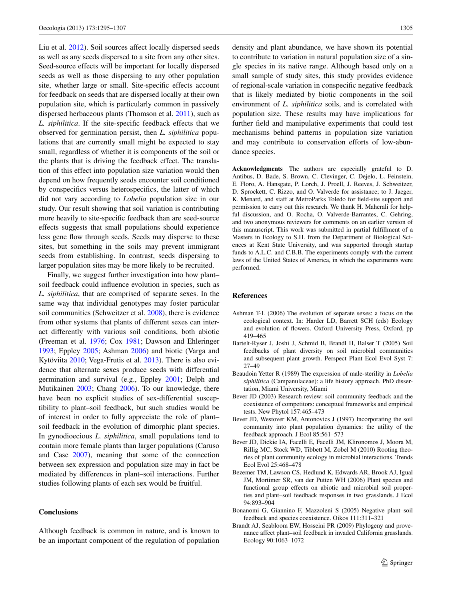Liu et al. [2012\)](#page-11-5). Soil sources affect locally dispersed seeds as well as any seeds dispersed to a site from any other sites. Seed-source effects will be important for locally dispersed seeds as well as those dispersing to any other population site, whether large or small. Site-specific effects account for feedback on seeds that are dispersed locally at their own population site, which is particularly common in passively dispersed herbaceous plants (Thomson et al. [2011](#page-12-5)), such as *L. siphilitica*. If the site-specific feedback effects that we observed for germination persist, then *L. siphilitica* populations that are currently small might be expected to stay small, regardless of whether it is components of the soil or the plants that is driving the feedback effect. The translation of this effect into population size variation would then depend on how frequently seeds encounter soil conditioned by conspecifics versus heterospecifics, the latter of which did not vary according to *Lobelia* population size in our study. Our result showing that soil variation is contributing more heavily to site-specific feedback than are seed-source effects suggests that small populations should experience less gene flow through seeds. Seeds may disperse to these sites, but something in the soils may prevent immigrant seeds from establishing. In contrast, seeds dispersing to larger population sites may be more likely to be recruited.

Finally, we suggest further investigation into how plant– soil feedback could influence evolution in species, such as *L. siphilitica*, that are comprised of separate sexes. In the same way that individual genotypes may foster particular soil communities (Schweitzer et al. [2008](#page-11-20)), there is evidence from other systems that plants of different sexes can interact differently with various soil conditions, both abiotic (Freeman et al. [1976](#page-11-38); Cox [1981](#page-11-39); Dawson and Ehleringer [1993](#page-11-40); Eppley [2005;](#page-11-41) Ashman [2006\)](#page-10-8) and biotic (Varga and Kytöviita [2010;](#page-12-12) Vega-Frutis et al. [2013\)](#page-12-13). There is also evidence that alternate sexes produce seeds with differential germination and survival (e.g., Eppley [2001;](#page-11-42) Delph and Mutikainen [2003](#page-11-43); Chang [2006\)](#page-11-44). To our knowledge, there have been no explicit studies of sex-differential susceptibility to plant–soil feedback, but such studies would be of interest in order to fully appreciate the role of plant– soil feedback in the evolution of dimorphic plant species. In gynodioecious *L. siphilitica*, small populations tend to contain more female plants than larger populations (Caruso and Case [2007\)](#page-11-24), meaning that some of the connection between sex expression and population size may in fact be mediated by differences in plant–soil interactions. Further studies following plants of each sex would be fruitful.

# **Conclusions**

Although feedback is common in nature, and is known to be an important component of the regulation of population density and plant abundance, we have shown its potential to contribute to variation in natural population size of a single species in its native range. Although based only on a small sample of study sites, this study provides evidence of regional-scale variation in conspecific negative feedback that is likely mediated by biotic components in the soil environment of *L. siphilitica* soils, and is correlated with population size. These results may have implications for further field and manipulative experiments that could test mechanisms behind patterns in population size variation and may contribute to conservation efforts of low-abundance species.

**Acknowledgments** The authors are especially grateful to D. Antibus, D. Bade, S. Brown, C. Clevinger, C. Dejelo, L. Feinstein, E. Floro, A. Hansgate, P. Lorch, J. Proell, J. Reeves, J. Schweitzer, D. Sprockett, C. Rizzo, and O. Valverde for assistance; to J. Jaeger, K. Menard, and staff at MetroParks Toledo for field-site support and permission to carry out this research. We thank H. Maherali for helpful discussion, and O. Rocha, O. Valverde-Barrantes, C. Gehring, and two anonymous reviewers for comments on an earlier version of this manuscript. This work was submitted in partial fulfillment of a Masters in Ecology to S.H. from the Department of Biological Sciences at Kent State University, and was supported through startup funds to A.L.C. and C.B.B. The experiments comply with the current laws of the United States of America, in which the experiments were performed.

#### **References**

- <span id="page-10-8"></span>Ashman T-L (2006) The evolution of separate sexes: a focus on the ecological context. In: Harder LD, Barrett SCH (eds) Ecology and evolution of flowers. Oxford University Press, Oxford, pp 419–465
- <span id="page-10-5"></span>Bartelt-Ryser J, Joshi J, Schmid B, Brandl H, Balser T (2005) Soil feedbacks of plant diversity on soil microbial communities and subsequent plant growth. Perspect Plant Ecol Evol Syst 7: 27–49
- <span id="page-10-6"></span>Beaudoin Yetter R (1989) The expression of male-sterility in *Lobelia siphilitica* (Campanulaceae): a life history approach. PhD dissertation, Miami University, Miami
- <span id="page-10-3"></span>Bever JD (2003) Research review: soil community feedback and the coexistence of competitors: conceptual frameworks and empirical tests. New Phytol 157:465–473
- <span id="page-10-0"></span>Bever JD, Westover KM, Antonovics J (1997) Incorporating the soil community into plant population dynamics: the utility of the feedback approach. J Ecol 85:561–573
- <span id="page-10-1"></span>Bever JD, Dickie IA, Facelli E, Facelli JM, Klironomos J, Moora M, Rillig MC, Stock WD, Tibbett M, Zobel M (2010) Rooting theories of plant community ecology in microbial interactions. Trends Ecol Evol 25:468–478
- <span id="page-10-4"></span>Bezemer TM, Lawson CS, Hedlund K, Edwards AR, Brook AJ, Igual JM, Mortimer SR, van der Putten WH (2006) Plant species and functional group effects on abiotic and microbial soil properties and plant–soil feedback responses in two grasslands. J Ecol 94:893–904
- <span id="page-10-2"></span>Bonanomi G, Giannino F, Mazzoleni S (2005) Negative plant–soil feedback and species coexistence. Oikos 111:311–321
- <span id="page-10-7"></span>Brandt AJ, Seabloom EW, Hosseini PR (2009) Phylogeny and provenance affect plant–soil feedback in invaded California grasslands. Ecology 90:1063–1072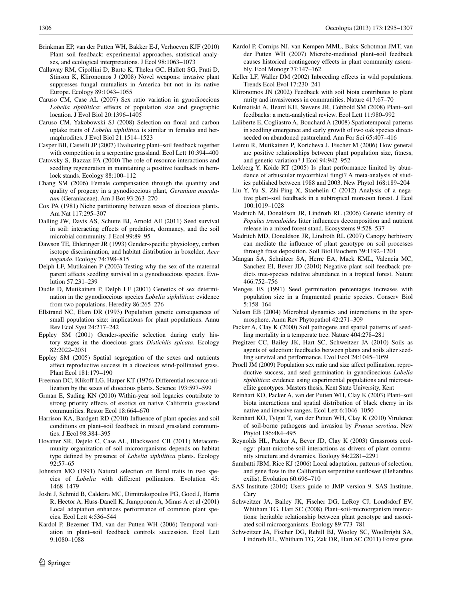- <span id="page-11-29"></span>Brinkman EP, van der Putten WH, Bakker E-J, Verhoeven KJF (2010) Plant–soil feedback: experimental approaches, statistical analyses, and ecological interpretations. J Ecol 98:1063–1073
- <span id="page-11-8"></span>Callaway RM, Cipollini D, Barto K, Thelen GC, Hallett SG, Prati D, Stinson K, Klironomos J (2008) Novel weapons: invasive plant suppresses fungal mutualists in America but not in its native Europe. Ecology 89:1043–1055
- <span id="page-11-24"></span>Caruso CM, Case AL (2007) Sex ratio variation in gynodioecious *Lobelia siphilitica*: effects of population size and geographic location. J Evol Biol 20:1396–1405
- <span id="page-11-22"></span>Caruso CM, Yakobowski SJ (2008) Selection on floral and carbon uptake traits of *Lobelia siphilitica* is similar in females and hermaphrodites. J Evol Biol 21:1514–1523
- <span id="page-11-1"></span>Casper BB, Castelli JP (2007) Evaluating plant–soil feedback together with competition in a serpentine grassland. Ecol Lett 10:394–400
- <span id="page-11-0"></span>Catovsky S, Bazzaz FA (2000) The role of resource interactions and seedling regeneration in maintaining a positive feedback in hemlock stands. Ecology 88:100–112
- <span id="page-11-44"></span>Chang SM (2006) Female compensation through the quantity and quality of progeny in a gynodioecious plant, *Geranium macula‑ tum* (Geraniaceae). Am J Bot 93:263–270
- <span id="page-11-39"></span>Cox PA (1981) Niche partitioning between sexes of dioecious plants. Am Nat 117:295–307
- <span id="page-11-15"></span>Dalling JW, Davis AS, Schutte BJ, Arnold AE (2011) Seed survival in soil: interacting effects of predation, dormancy, and the soil microbial community. J Ecol 99:89–95
- <span id="page-11-40"></span>Dawson TE, Ehleringer JR (1993) Gender-specific physiology, carbon isotope discrimination, and habitat distribution in boxelder, *Acer negundo*. Ecology 74:798–815
- <span id="page-11-43"></span>Delph LF, Mutikainen P (2003) Testing why the sex of the maternal parent affects seedling survival in a gynodioecious species. Evolution 57:231–239
- <span id="page-11-26"></span>Dudle D, Mutikainen P, Delph LF (2001) Genetics of sex determination in the gynodioecious species *Lobelia siphilitica*: evidence from two populations. Heredity 86:265–276
- <span id="page-11-33"></span>Ellstrand NC, Elam DR (1993) Population genetic consequences of small population size: implications for plant populations. Annu Rev Ecol Syst 24:217–242
- <span id="page-11-42"></span>Eppley SM (2001) Gender-specific selection during early history stages in the dioecious grass *Distichlis spicata*. Ecology 82:2022–2031
- <span id="page-11-41"></span>Eppley SM (2005) Spatial segregation of the sexes and nutrients affect reproductive success in a dioecious wind-pollinated grass. Plant Ecol 181:179–190
- <span id="page-11-38"></span>Freeman DC, Klikoff LG, Harper KT (1976) Differential resource utilization by the sexes of dioecious plants. Science 193:597–599
- <span id="page-11-17"></span>Grman E, Suding KN (2010) Within-year soil legacies contribute to strong priority effects of exotics on native California grassland communities. Restor Ecol 18:664–670
- <span id="page-11-10"></span>Harrison KA, Bardgett RD (2010) Influence of plant species and soil conditions on plant–soil feedback in mixed grassland communities. J Ecol 98:384–395
- <span id="page-11-25"></span>Hovatter SR, Dejelo C, Case AL, Blackwood CB (2011) Metacommunity organization of soil microorganisms depends on habitat type defined by presence of *Lobelia siphilitica* plants. Ecology 92:57–65
- <span id="page-11-21"></span>Johnston MO (1991) Natural selection on floral traits in two species of *Lobelia* with different pollinators. Evolution 45: 1468–1479
- <span id="page-11-31"></span>Joshi J, Schmid B, Caldeira MC, Dimitrakopoulos PG, Good J, Harris R, Hector A, Huss-Danell K, Jumpponen A, Minns A et al (2001) Local adaptation enhances performance of common plant species. Ecol Lett 4:536–544
- <span id="page-11-28"></span>Kardol P, Bezemer TM, van der Putten WH (2006) Temporal variation in plant–soil feedback controls succession. Ecol Lett 9:1080–1088
- <span id="page-11-16"></span>Kardol P, Cornips NJ, van Kempen MML, Bakx-Schotman JMT, van der Putten WH (2007) Microbe-mediated plant–soil feedback causes historical contingency effects in plant community assembly. Ecol Monogr 77:147–162
- <span id="page-11-32"></span>Keller LF, Waller DM (2002) Inbreeding effects in wild populations. Trends Ecol Evol 17:230–241
- <span id="page-11-7"></span>Klironomos JN (2002) Feedback with soil biota contributes to plant rarity and invasiveness in communities. Nature 417:67–70
- <span id="page-11-6"></span>Kulmatiski A, Beard KH, Stevens JR, Cobbold SM (2008) Plant–soil feedbacks: a meta-analytical review. Ecol Lett 11:980–992
- <span id="page-11-30"></span>Laliberte E, Cogliastro A, Bouchard A (2008) Spatiotemporal patterns in seedling emergence and early growth of two oak species directseeded on abandoned pastureland. Ann For Sci 65:407–416
- <span id="page-11-34"></span>Leimu R, Mutikainen P, Koricheva J, Fischer M (2006) How general are positive relationships between plant population size, fitness, and genetic variation? J Ecol 94:942–952
- <span id="page-11-13"></span>Lekberg Y, Koide RT (2005) Is plant performance limited by abundance of arbuscular mycorrhizal fungi? A meta-analysis of studies published between 1988 and 2003. New Phytol 168:189–204
- <span id="page-11-5"></span>Liu Y, Yu S, Zhi-Ping X, Staehelin C (2012) Analysis of a negative plant–soil feedback in a subtropical monsoon forest. J Ecol 100:1019–1028
- <span id="page-11-18"></span>Madritch M, Donaldson JR, Lindroth RL (2006) Genetic identity of *Populus tremuloides* litter influences decomposition and nutrient release in a mixed forest stand. Ecosystems 9:528–537
- <span id="page-11-19"></span>Madritch MD, Donaldson JR, Lindroth RL (2007) Canopy herbivory can mediate the influence of plant genotype on soil processes through frass deposition. Soil Biol Biochem 39:1192–1201
- <span id="page-11-4"></span>Mangan SA, Schnitzer SA, Herre EA, Mack KML, Valencia MC, Sanchez EI, Bever JD (2010) Negative plant–soil feedback predicts tree-species relative abundance in a tropical forest. Nature 466:752–756
- <span id="page-11-35"></span>Menges ES (1991) Seed germination percentages increases with population size in a fragmented prairie species. Conserv Biol 5:158–164
- <span id="page-11-14"></span>Nelson EB (2004) Microbial dynamics and interactions in the spermosphere. Annu Rev Phytopathol 42:271–309
- <span id="page-11-2"></span>Packer A, Clay K (2000) Soil pathogens and spatial patterns of seedling mortality in a temperate tree. Nature 404:278–281
- <span id="page-11-11"></span>Pregitzer CC, Bailey JK, Hart SC, Schweitzer JA (2010) Soils as agents of selection: feedbacks between plants and soils alter seedling survival and performance. Evol Ecol 24:1045–1059
- <span id="page-11-23"></span>Proell JM (2009) Population sex ratio and size affect pollination, reproductive success, and seed germination in gynodioecious *Lobelia siphilitica*: evidence using experimental populations and microsatellite genotypes. Masters thesis, Kent State University, Kent
- <span id="page-11-12"></span>Reinhart KO, Packer A, van der Putten WH, Clay K (2003) Plant–soil biota interactions and spatial distribution of black cherry in its native and invasive ranges. Ecol Lett 6:1046–1050
- <span id="page-11-9"></span>Reinhart KO, Tytgat T, van der Putten WH, Clay K (2010) Virulence of soil-borne pathogens and invasion by *Prunus serotina*. New Phytol 186:484–495
- <span id="page-11-3"></span>Reynolds HL, Packer A, Bever JD, Clay K (2003) Grassroots ecology: plant-microbe-soil interactions as drivers of plant community structure and dynamics. Ecology 84:2281–2291
- <span id="page-11-36"></span>Sambatti JBM, Rice KJ (2006) Local adaptation, patterns of selection, and gene flow in the Californian serpentine sunflower (Helianthus exilis). Evolution 60:696–710
- <span id="page-11-27"></span>SAS Institute (2010) Users guide to JMP version 9. SAS Institute, Cary
- <span id="page-11-20"></span>Schweitzer JA, Bailey JK, Fischer DG, LeRoy CJ, Londsdorf EV, Whitham TG, Hart SC (2008) Plant–soil-microorganism interactions: heritable relationship between plant genotype and associated soil microorganisms. Ecology 89:773–781
- <span id="page-11-37"></span>Schweitzer JA, Fischer DG, Rehill BJ, Wooley SC, Woolbright SA, Lindroth RL, Whitham TG, Zak DR, Hart SC (2011) Forest gene